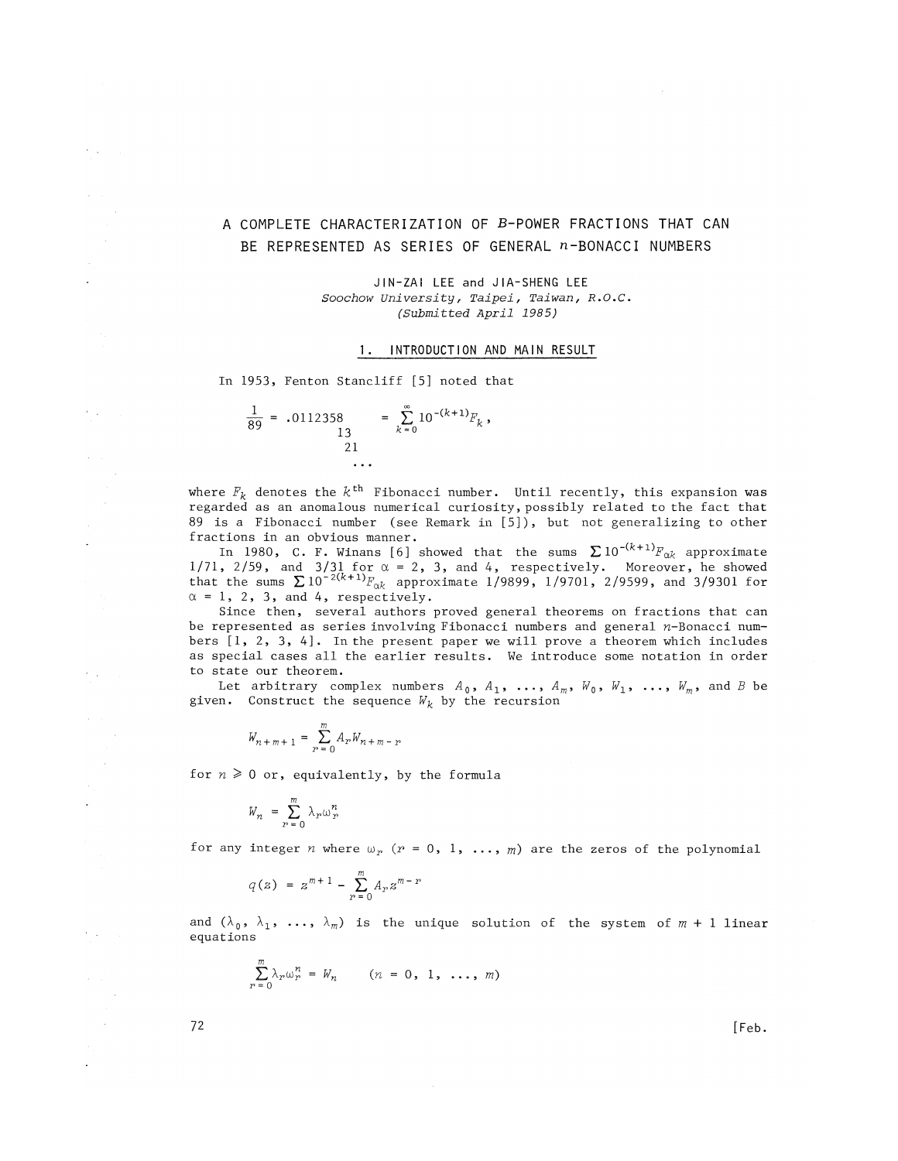## A COMPLETE CHARACTERIZATION OF B-POWER FRACTIONS THAT CAN BE REPRESENTED AS SERIES OF GENERAL n-BONACCI NUMBERS

JIN-ZAI LEE and JIA-SHENG LEE *Soochow University, Taipei, Taiwan, R.O.C. (Submitted April 1985)* 

## 1. INTRODUCTION AND MAIN RESULT

In 1953, Fenton Stancliff [5] noted that

$$
\frac{1}{89} = .0112358 = \sum_{k=0}^{\infty} 10^{-(k+1)} F_k,
$$
  
21 ...

where  $F_{\bm{k}}$  denotes the  $k^{\text{th}}$  Fibonacci number. Until recently, this expansion was regarded as an anomalous numerical curiosity, possibly related to the fact that 89 is a Fibonacci number (see Remark in [5]), but not generalizing to other fractions in an obvious manner.

In 1980, C. F. Winans [6] showed that the sums  $\sum 10^{-(k+1)}F_{\alpha k}$  approximate  $1/71$ ,  $2/59$ , and  $3/31$  for  $\alpha = 2$ , 3, and 4, respectively. Moreover, he showed that the sums  $\sum 10^{-2(k+1)} F_{\alpha k}$  approximate  $1/9899$ ,  $1/9701$ ,  $2/9599$ , and  $3/9301$  for  $\alpha = 1$ , 2, 3, and 4, respectively.

Since then, several authors proved general theorems on fractions that can be represented as series involving Fibonacci numbers and general n-Bonacci numbers [1, 2, 3, 4]. In the present paper we will prove a theorem which includes as special cases all the earlier results. We introduce some notation in order to state our theorem.

Let arbitrary complex numbers  $A_0$ ,  $A_1$ , ...,  $A_m$ ,  $W_0$ ,  $W_1$ , ...,  $W_m$ , and *B* be given. Construct the sequence *W^* by the recursion

$$
W_{n+m+1} = \sum_{r=0}^{m} A_r W_{n+m-r}
$$

for  $n \geq 0$  or, equivalently, by the formula

$$
W_n = \sum_{r=0}^m \lambda_r \omega_r^n
$$

for any integer *n* where  $\omega_r$  ( $r = 0, 1, ..., m$ ) are the zeros of the polynomial

$$
q(z) = z^{m+1} - \sum_{r=0}^{m} A_r z^{m-r}
$$

and  $(\lambda_0, \lambda_1, \ldots, \lambda_m)$  is the unique solution of the system of  $m + 1$  linear equations

 $\sim$ 

$$
\sum_{r=0}^m \lambda_r \omega_r^n = W_n \qquad (n = 0, 1, \ldots, m)
$$

 $72$  [Feb.

 $\epsilon_{\rm{max}}$ 

 $\mathcal{F}(\mathcal{A})$ 

 $\epsilon_{\rm{max}}$ 

 $\mathcal{F}(\mathcal{A})$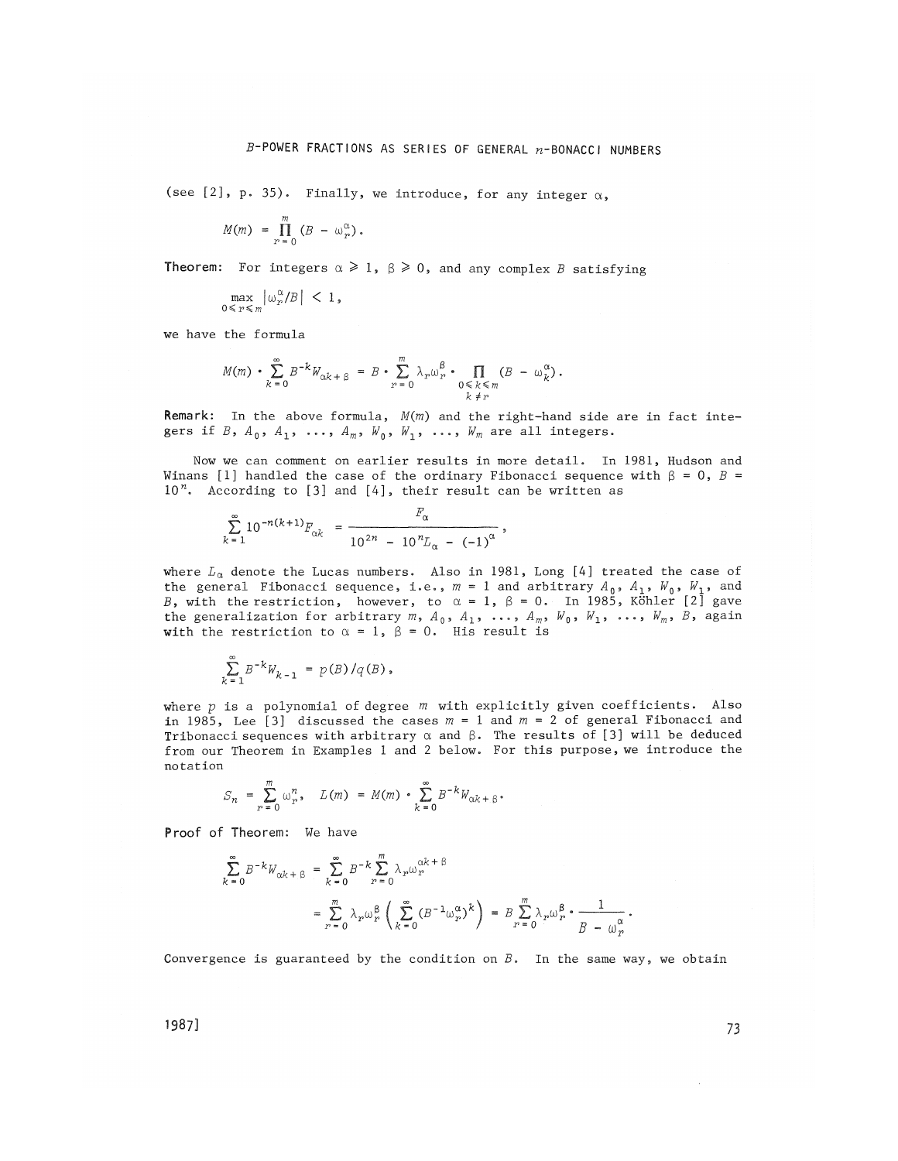(see [2], p. 35). Finally, we introduce, for any integer  $\alpha$ ,

$$
M(m) = \prod_{r=0}^{m} (B - \omega_r^{\alpha}).
$$

**Theorem:** For integers  $\alpha \geq 1$ ,  $\beta \geq 0$ , and any complex B satisfying

$$
\max_{0 \leq r \leq m} \left| \omega_r^{\alpha} / B \right| \, < \, 1,
$$

we have the formula

$$
M(m) \cdot \sum_{k=0}^{\infty} B^{-k} W_{\alpha k + \beta} = B \cdot \sum_{r=0}^{m} \lambda_r \omega_r^{\beta} \cdot \prod_{\substack{0 \le k \le m \\ k \ne r}} (B - \omega_k^{\alpha}).
$$

Remark: In the above formula, *M(m)* and the right-hand side are in fact integers if *B*,  $A_0$ ,  $A_1$ , ...,  $A_m$ ,  $W_0$ ,  $W_1$ , ...,  $W_m$  are all integers.

Now we can comment on earlier results in more detail. In 1981, Hudson and Winans [1] handled the case of the ordinary Fibonacci sequence with  $\beta = 0$ ,  $B =$  $10<sup>n</sup>$ . According to [3] and [4], their result can be written as

$$
\sum_{k=1}^{\infty} 10^{-n(k+1)} F_{\alpha k} = \frac{F_{\alpha}}{10^{2n} - 10^{n} L_{\alpha} - (-1)^{\alpha}},
$$

where  $L_{\alpha}$  denote the Lucas numbers. Also in 1981, Long [4] treated the case of the general Fibonacci sequence, i.e.,  $m = 1$  and arbitrary  $A_0$ ,  $A_1$ ,  $W_0$ ,  $W_1$ , and *B*, with the restriction, however, to  $\alpha = 1$ ,  $\beta = 0$ . In 1985, Köhler [2] gave the generalization for arbitrary  $m$ ,  $A_0$ ,  $A_1$ , ...,  $A_m$ ,  $W_0$ ,  $W_1$ , ...,  $W_m$ ,  $B$ , again with the restriction to  $\alpha = 1$ ,  $\beta = 0$ . His result is

$$
\sum_{k=1}^{\infty} B^{-k} W_{k-1} = p(B) / q(B),
$$

where p is a polynomial of degree  $m$  with explicitly given coefficients. Also in 1985, Lee [3] discussed the cases *m* = 1 and *m = 2 of* general Fibonacci and Tribonacci sequences with arbitrary  $\alpha$  and  $\beta$ . The results of [3] will be deduced from our Theorem in Examples 1 and 2 below. For this purpose, we introduce the notation

$$
S_n = \sum_{r=0}^m \omega_r^n, \quad L(m) = M(m) \cdot \sum_{k=0}^\infty B^{-k} W_{\alpha k + \beta}.
$$

Proof of Theorem: We have

$$
\sum_{k=0}^{\infty} B^{-k} W_{\alpha k + \beta} = \sum_{k=0}^{\infty} B^{-k} \sum_{r=0}^{m} \lambda_r \omega_r^{\alpha k + \beta}
$$
  
= 
$$
\sum_{r=0}^{m} \lambda_r \omega_r^{\beta} \left( \sum_{k=0}^{\infty} (B^{-1} \omega_r^{\alpha})^k \right) = B \sum_{r=0}^{m} \lambda_r \omega_r^{\beta} \cdot \frac{1}{B - \omega_r^{\alpha}}.
$$

Convergence is guaranteed by the condition on  $B$ . In the same way, we obtain

1987] 73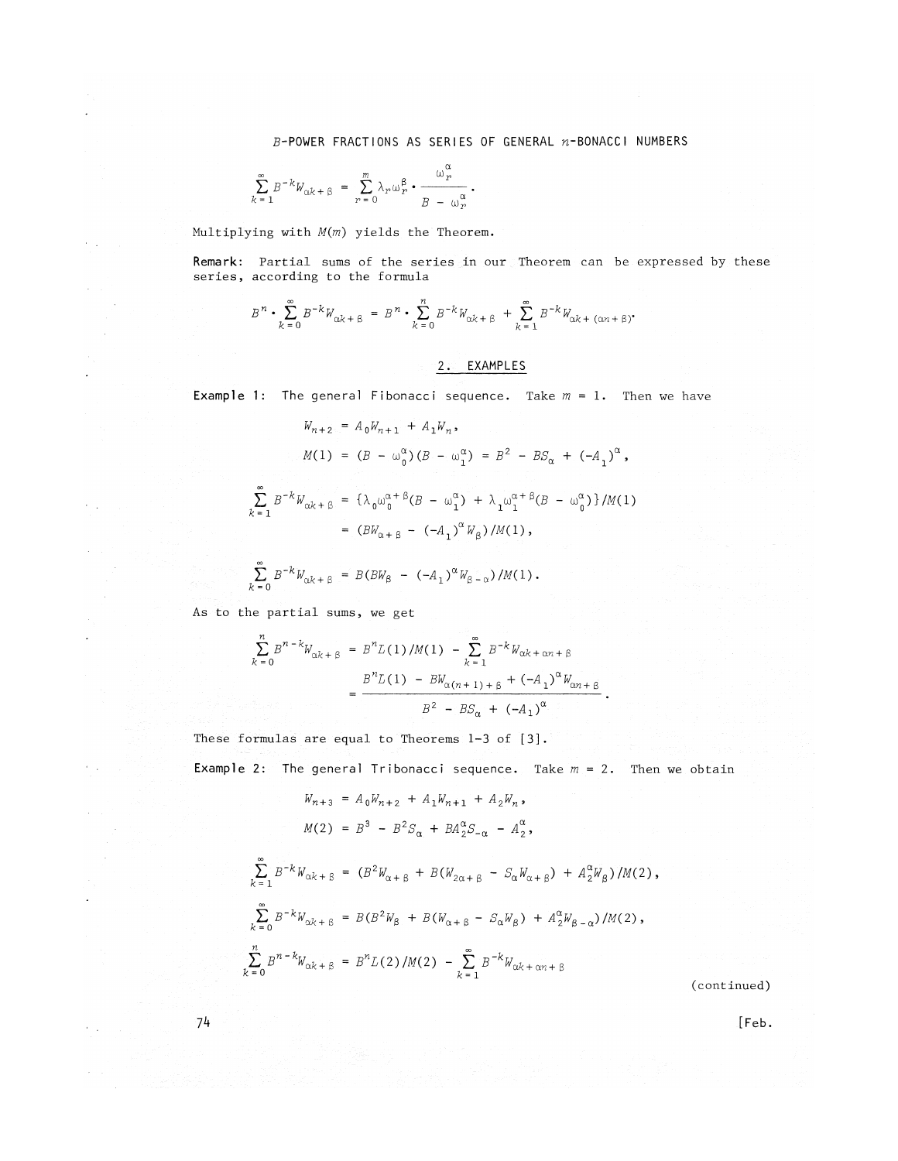$B$ -POWER FRACTIONS AS SERIES OF GENERAL  $n$ -BONACCI NUMBERS

$$
\sum_{k=1}^{\infty} B^{-k} W_{\alpha k + \beta} = \sum_{r=0}^{m} \lambda_r \omega_r^{\beta} \cdot \frac{\omega_r^{\alpha}}{B - \omega_r^{\alpha}}.
$$

Multiplying with *M(m)* yields the Theorem.

 $\epsilon_{\rm{max}}$ 

 $\epsilon$  $\sim$ 

 $\alpha = \frac{1}{2}$ 

Remark: Partial sums of the series in our Theorem can be expressed by these series, according to the formula

$$
B^{n} \cdot \sum_{k=0}^{\infty} B^{-k} W_{\alpha k + \beta} = B^{n} \cdot \sum_{k=0}^{n} B^{-k} W_{\alpha k + \beta} + \sum_{k=1}^{\infty} B^{-k} W_{\alpha k + (\alpha n + \beta)}.
$$

*2.* **EXAMPLES** 

**Example 1:** The general Fibonacci sequence. Take  $m = 1$ . Then we have

$$
W_{n+2} = A_0 W_{n+1} + A_1 W_n,
$$
  
\n
$$
M(1) = (B - \omega_0^{\alpha})(B - \omega_1^{\alpha}) = B^2 - BS_{\alpha} + (-A_1)^{\alpha},
$$
  
\n
$$
\sum_{k=1}^{\infty} B^{-k} W_{\alpha k + \beta} = {\lambda_0 \omega_0^{\alpha + \beta}(B - \omega_1^{\alpha}) + \lambda_1 \omega_1^{\alpha + \beta}(B - \omega_0^{\alpha})} / M(1)
$$
  
\n
$$
= (B W_{\alpha + \beta} - (-A_1)^{\alpha} W_{\beta}) / M(1),
$$
  
\n
$$
\sum_{k=0}^{\infty} B^{-k} W_{\alpha k + \beta} = B (B W_{\beta} - (-A_1)^{\alpha} W_{\beta - \alpha}) / M(1).
$$

As to the partial sums, we get

$$
\sum_{k=0}^{n} B^{n-k} W_{\alpha k+\beta} = B^{n} L(1) / M(1) - \sum_{k=1}^{\infty} B^{-k} W_{\alpha k+\alpha n+\beta}
$$
  
= 
$$
\frac{B^{n} L(1) - BW_{\alpha (n+1)+\beta} + (-A_1)^{\alpha} W_{\alpha n+\beta}}{B^{2} - B S_{\alpha} + (-A_1)^{\alpha}}.
$$

These formulas are equal to Theorems  $l-3$  of  $[3]$ .

**Example** 2: The general Tribonacci sequence. Take  $m = 2$ . Then we obtain

$$
W_{n+3} = A_0 W_{n+2} + A_1 W_{n+1} + A_2 W_n,
$$
  
\n
$$
M(2) = B^3 - B^2 S_{\alpha} + B A_2^{\alpha} S_{-\alpha} - A_2^{\alpha},
$$
  
\n
$$
\sum_{k=1}^{\infty} B^{-k} W_{\alpha k + \beta} = (B^2 W_{\alpha + \beta} + B(W_{2\alpha + \beta} - S_{\alpha} W_{\alpha + \beta}) + A_2^{\alpha} W_{\beta})/M(2),
$$
  
\n
$$
\sum_{k=0}^{\infty} B^{-k} W_{\alpha k + \beta} = B(B^2 W_{\beta} + B(W_{\alpha + \beta} - S_{\alpha} W_{\beta}) + A_2^{\alpha} W_{\beta - \alpha})/M(2),
$$
  
\n
$$
\sum_{k=0}^{\infty} B^{n-k} W_{\alpha k + \beta} = B^n L(2) / M(2) - \sum_{k=1}^{\infty} B^{-k} W_{\alpha k + \alpha n + \beta}
$$

( continued)

74 and 2008, the set of the set of the set of the set of the set of the set of the set of the set of the set of the set of the set of the set of the set of the set of the set of the set of the set of the set of the set of